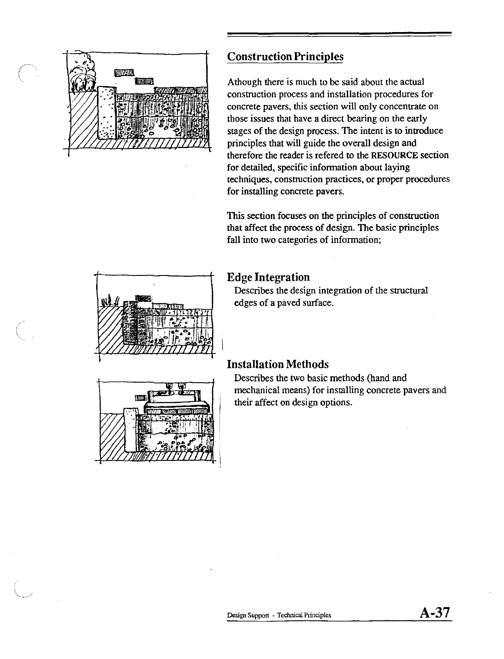

## **Construction Principles**

Athough there is much to be said about the actual construction process and installation procedures for concrete pavers, this section will only concentrate on those issues that have a direct bearing on the early stages of the design process. The intent is to introduce principles that will guide the overall design and therefore the reader is refered to the RESOURCE section for detailed, specific information about laying techniques, construction practices, or proper procedures for installing concrete pavers.

This section focuses on the principles of construction that affect the process of design. The basic principles fall into two categories of information;

## **Edge Integration**

Describes the design integration of the structural edges of a paved surface.

# **Installation Methods**

Describes the two basic methods (hand and mechanical means) for installing concrete pavers and their affect on design options.



$$
A-37
$$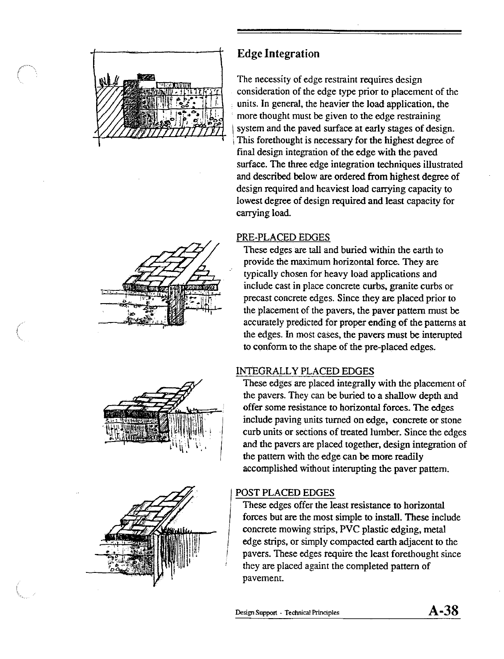



The necessity of edge restraint requires design consideration of the edge type prior to placement of the units. In general, the heavier the load application, the more thought must be given to the edge restraining system and the paved surface at early stages of design. This forethought is necessary for the highest degree of final design integration of the edge with the paved surface. The three edge integration techniques illustrated and described below are ordered from highest degree of design required and heaviest load carrying capacity to lowest degree of design required and least capacity for carrying load.

### PRE-PLACED EDGES

These edges are tall and buried within the earth to provide the maximum horizontal force. They are typically chosen for heavy load applications and include cast in place concrete curbs, granite curbs or precast concrete edges. Since they are placed prior to the placement of the pavers, the paver pattern must be accurately predicted for proper ending of the patterns at the edges. In most cases, the pavers must be interupted to conform to the shape of the pre-placed edges.

## INTEGRALLY PLACED EDGES

These edges are placed integrally with the placement of the pavers. They can be buried to a shallow depth and offer some resistance to horizontal forces. The edges include paving units turned on edge, concrete or stone curb units or sections of treated lumber. Since the edges and the pavers are placed together, design integration of the pattern with the edge can be more readily accomplished without interupting the paver pattern.

### POST PLACED EDGES

These edges offer the least resistance to horizontal forces but are the most simple to install. These include concrete mowing strips, PVC plastic edging, metal edge strips, or simply compacted earth adjacent to the pavers. These edges require the least forethought since they are placed againt the completed pattern of pavement.





$$
A-38
$$